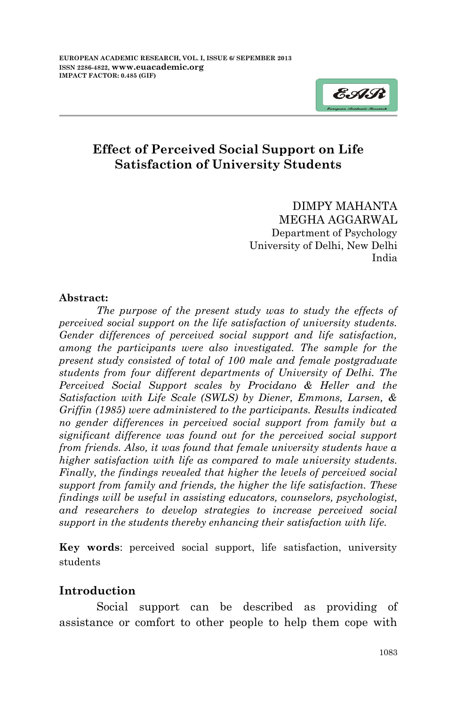

# **Effect of Perceived Social Support on Life Satisfaction of University Students**

DIMPY MAHANTA MEGHA AGGARWAL Department of Psychology University of Delhi, New Delhi India

#### **Abstract:**

*The purpose of the present study was to study the effects of perceived social support on the life satisfaction of university students. Gender differences of perceived social support and life satisfaction, among the participants were also investigated. The sample for the present study consisted of total of 100 male and female postgraduate students from four different departments of University of Delhi. The Perceived Social Support scales by Procidano & Heller and the Satisfaction with Life Scale (SWLS) by Diener, Emmons, Larsen, & Griffin (1985) were administered to the participants. Results indicated no gender differences in perceived social support from family but a significant difference was found out for the perceived social support from friends. Also, it was found that female university students have a higher satisfaction with life as compared to male university students. Finally, the findings revealed that higher the levels of perceived social support from family and friends, the higher the life satisfaction. These findings will be useful in assisting educators, counselors, psychologist, and researchers to develop strategies to increase perceived social support in the students thereby enhancing their satisfaction with life.*

**Key words**: perceived social support, life satisfaction, university students

#### **Introduction**

Social support can be described as providing of assistance or comfort to other people to help them cope with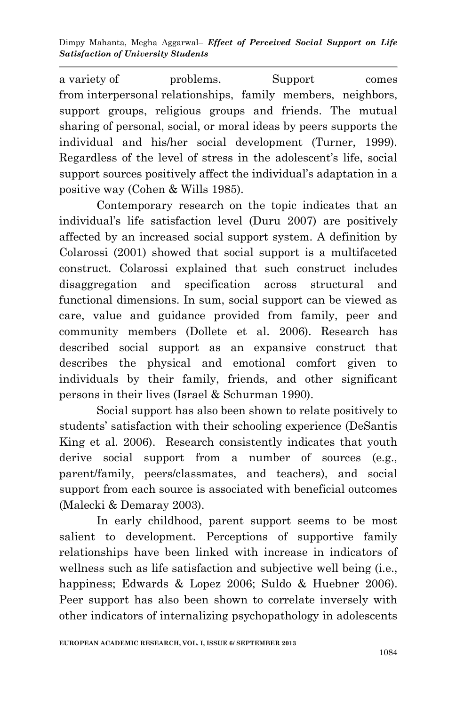Dimpy Mahanta, Megha Aggarwal– *Effect of Perceived Social Support on Life Satisfaction of University Students*

a variety of problems. Support comes from interpersonal relationships, family members, neighbors, support groups, religious groups and friends. The mutual sharing of personal, social, or moral ideas by peers supports the individual and his/her social development (Turner, 1999). Regardless of the level of stress in the adolescent's life, social support sources positively affect the individual's adaptation in a positive way (Cohen & Wills 1985).

Contemporary research on the topic indicates that an individual"s life satisfaction level (Duru 2007) are positively affected by an increased social support system. A definition by Colarossi (2001) showed that social support is a multifaceted construct. Colarossi explained that such construct includes disaggregation and specification across structural and functional dimensions. In sum, social support can be viewed as care, value and guidance provided from family, peer and community members (Dollete et al. 2006). Research has described social support as an expansive construct that describes the physical and emotional comfort given to individuals by their family, friends, and other significant persons in their lives (Israel & Schurman 1990).

Social support has also been shown to relate positively to students" satisfaction with their schooling experience (DeSantis King et al. 2006). Research consistently indicates that youth derive social support from a number of sources (e.g., parent/family, peers/classmates, and teachers), and social support from each source is associated with beneficial outcomes (Malecki & Demaray 2003).

In early childhood, parent support seems to be most salient to development. Perceptions of supportive family relationships have been linked with increase in indicators of wellness such as life satisfaction and subjective well being (*i.e.*, happiness; Edwards & Lopez 2006; Suldo & Huebner 2006). Peer support has also been shown to correlate inversely with other indicators of internalizing psychopathology in adolescents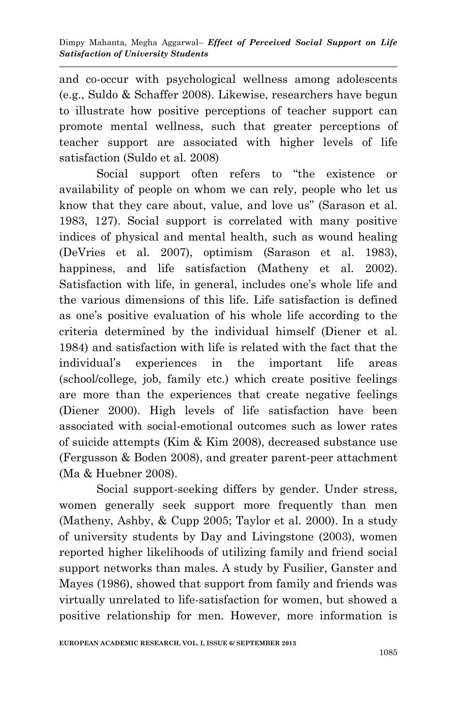and co-occur with psychological wellness among adolescents (e.g., Suldo & Schaffer 2008). Likewise, researchers have begun to illustrate how positive perceptions of teacher support can promote mental wellness, such that greater perceptions of teacher support are associated with higher levels of life satisfaction (Suldo et al. 2008)

Social support often refers to "the existence or availability of people on whom we can rely, people who let us know that they care about, value, and love us" (Sarason et al. 1983, 127). Social support is correlated with many positive indices of physical and mental health, such as wound healing (DeVries et al. 2007), optimism (Sarason et al. 1983), happiness, and life satisfaction (Matheny et al. 2002). Satisfaction with life, in general, includes one's whole life and the various dimensions of this life. Life satisfaction is defined as one's positive evaluation of his whole life according to the criteria determined by the individual himself (Diener et al. 1984) and satisfaction with life is related with the fact that the individual"s experiences in the important life areas (school/college, job, family etc.) which create positive feelings are more than the experiences that create negative feelings (Diener 2000). High levels of life satisfaction have been associated with social-emotional outcomes such as lower rates of suicide attempts (Kim & Kim 2008), decreased substance use (Fergusson & Boden 2008), and greater parent-peer attachment (Ma & Huebner 2008).

Social support-seeking differs by gender. Under stress, women generally seek support more frequently than men (Matheny, Ashby, & Cupp 2005; Taylor et al. 2000). In a study of university students by Day and Livingstone (2003), women reported higher likelihoods of utilizing family and friend social support networks than males. A study by Fusilier, Ganster and Mayes (1986), showed that support from family and friends was virtually unrelated to life-satisfaction for women, but showed a positive relationship for men. However, more information is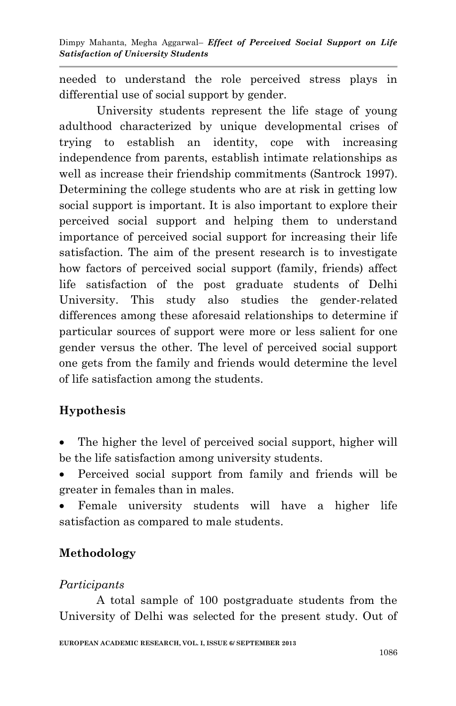needed to understand the role perceived stress plays in differential use of social support by gender.

University students represent the life stage of young adulthood characterized by unique developmental crises of trying to establish an identity, cope with increasing independence from parents, establish intimate relationships as well as increase their friendship commitments (Santrock 1997). Determining the college students who are at risk in getting low social support is important. It is also important to explore their perceived social support and helping them to understand importance of perceived social support for increasing their life satisfaction. The aim of the present research is to investigate how factors of perceived social support (family, friends) affect life satisfaction of the post graduate students of Delhi University. This study also studies the gender-related differences among these aforesaid relationships to determine if particular sources of support were more or less salient for one gender versus the other. The level of perceived social support one gets from the family and friends would determine the level of life satisfaction among the students.

# **Hypothesis**

- The higher the level of perceived social support, higher will be the life satisfaction among university students.
- Perceived social support from family and friends will be greater in females than in males.
- Female university students will have a higher life satisfaction as compared to male students.

# **Methodology**

# *Participants*

A total sample of 100 postgraduate students from the University of Delhi was selected for the present study. Out of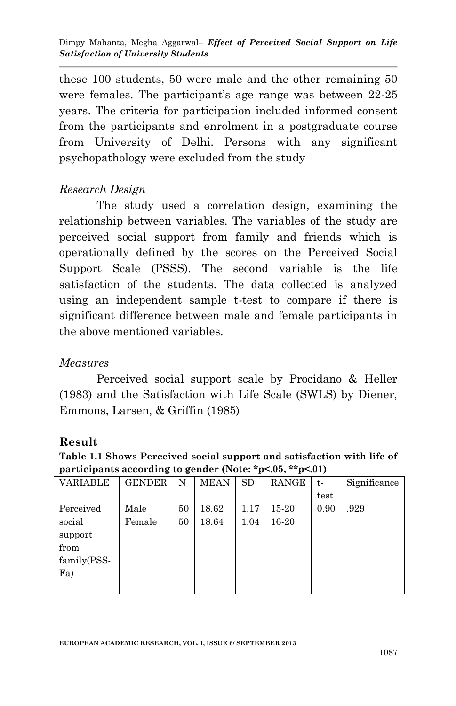these 100 students, 50 were male and the other remaining 50 were females. The participant's age range was between 22-25 years. The criteria for participation included informed consent from the participants and enrolment in a postgraduate course from University of Delhi. Persons with any significant psychopathology were excluded from the study

### *Research Design*

The study used a correlation design, examining the relationship between variables. The variables of the study are perceived social support from family and friends which is operationally defined by the scores on the Perceived Social Support Scale (PSSS). The second variable is the life satisfaction of the students. The data collected is analyzed using an independent sample t-test to compare if there is significant difference between male and female participants in the above mentioned variables.

### *Measures*

Perceived social support scale by Procidano & Heller (1983) and the Satisfaction with Life Scale (SWLS) by Diener, Emmons, Larsen, & Griffin (1985)

### **Result**

**Table 1.1 Shows Perceived social support and satisfaction with life of participants according to gender (Note: \*p<.05, \*\*p<.01)**

| <b>VARIABLE</b> | <b>GENDER</b> | N  | <b>MEAN</b> | <b>SD</b> | RANGE | t-   | Significance |
|-----------------|---------------|----|-------------|-----------|-------|------|--------------|
|                 |               |    |             |           |       | test |              |
| Perceived       | Male          | 50 | 18.62       | 1.17      | 15-20 | 0.90 | .929         |
| social          | Female        | 50 | 18.64       | 1.04      | 16-20 |      |              |
| support         |               |    |             |           |       |      |              |
| from            |               |    |             |           |       |      |              |
| family(PSS-     |               |    |             |           |       |      |              |
| Fa)             |               |    |             |           |       |      |              |
|                 |               |    |             |           |       |      |              |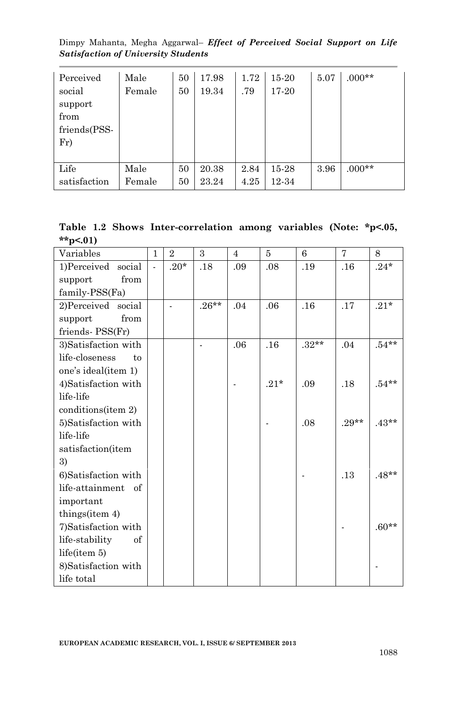Dimpy Mahanta, Megha Aggarwal– *Effect of Perceived Social Support on Life Satisfaction of University Students*

| Perceived    | Male   | 50 | 17.98 | 1.72 | 15-20 | 5.07 | $.000**$ |
|--------------|--------|----|-------|------|-------|------|----------|
| social       | Female | 50 | 19.34 | .79  | 17-20 |      |          |
| support      |        |    |       |      |       |      |          |
| from         |        |    |       |      |       |      |          |
| friends(PSS- |        |    |       |      |       |      |          |
| Fr           |        |    |       |      |       |      |          |
|              |        |    |       |      |       |      |          |
| Life         | Male   | 50 | 20.38 | 2.84 | 15-28 | 3.96 | $.000**$ |
| satisfaction | Female | 50 | 23.24 | 4.25 | 12-34 |      |          |

**Table 1.2 Shows Inter-correlation among variables (Note: \*p<.05, \*\*p<.01)**

| Variables            | $\mathbf{1}$   | $\overline{2}$ | 3        | $\overline{4}$ | 5      | 6                  | 7       | 8                 |
|----------------------|----------------|----------------|----------|----------------|--------|--------------------|---------|-------------------|
| 1)Perceived social   | $\overline{a}$ | $.20*$         | .18      | .09            | .08    | .19                | .16     | $.24\,{}^{\star}$ |
| from<br>support      |                |                |          |                |        |                    |         |                   |
| family-PSS(Fa)       |                |                |          |                |        |                    |         |                   |
| 2)Perceived social   |                |                | $.26***$ | .04            | .06    | .16                | .17     | $.21*$            |
| from<br>support      |                |                |          |                |        |                    |         |                   |
| friends-PSS(Fr)      |                |                |          |                |        |                    |         |                   |
| 3)Satisfaction with  |                |                |          | .06            | .16    | $.32^{\star\star}$ | .04     | $.54**$           |
| life-closeness<br>to |                |                |          |                |        |                    |         |                   |
| one's ideal(item 1)  |                |                |          |                |        |                    |         |                   |
| 4)Satisfaction with  |                |                |          |                | $.21*$ | .09                | .18     | $.54***$          |
| life-life            |                |                |          |                |        |                    |         |                   |
| conditions(item 2)   |                |                |          |                |        |                    |         |                   |
| 5)Satisfaction with  |                |                |          |                |        | .08                | $.29**$ | $.43**$           |
| life-life            |                |                |          |                |        |                    |         |                   |
| satisfaction(item    |                |                |          |                |        |                    |         |                   |
| 3)                   |                |                |          |                |        |                    |         |                   |
| 6)Satisfaction with  |                |                |          |                |        |                    | .13     | $.48**$           |
| life-attainment of   |                |                |          |                |        |                    |         |                   |
| important            |                |                |          |                |        |                    |         |                   |
| things(item 4)       |                |                |          |                |        |                    |         |                   |
| 7)Satisfaction with  |                |                |          |                |        |                    |         | $.60**$           |
| life-stability<br>of |                |                |          |                |        |                    |         |                   |
| life(item 5)         |                |                |          |                |        |                    |         |                   |
| 8) Satisfaction with |                |                |          |                |        |                    |         |                   |
| life total           |                |                |          |                |        |                    |         |                   |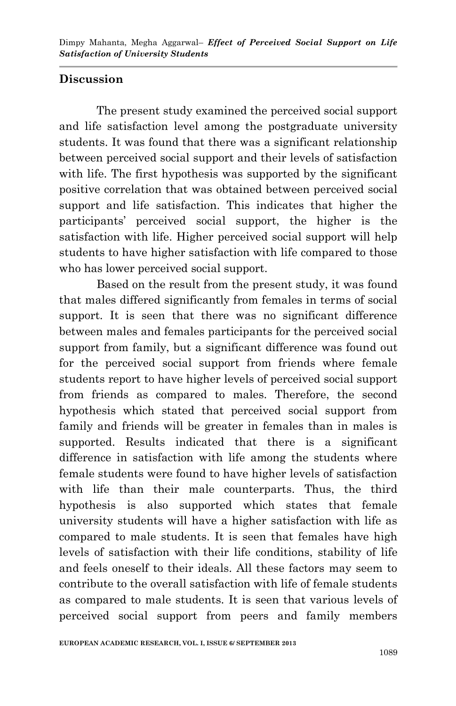## **Discussion**

The present study examined the perceived social support and life satisfaction level among the postgraduate university students. It was found that there was a significant relationship between perceived social support and their levels of satisfaction with life. The first hypothesis was supported by the significant positive correlation that was obtained between perceived social support and life satisfaction. This indicates that higher the participants" perceived social support, the higher is the satisfaction with life. Higher perceived social support will help students to have higher satisfaction with life compared to those who has lower perceived social support.

Based on the result from the present study, it was found that males differed significantly from females in terms of social support. It is seen that there was no significant difference between males and females participants for the perceived social support from family, but a significant difference was found out for the perceived social support from friends where female students report to have higher levels of perceived social support from friends as compared to males. Therefore, the second hypothesis which stated that perceived social support from family and friends will be greater in females than in males is supported. Results indicated that there is a significant difference in satisfaction with life among the students where female students were found to have higher levels of satisfaction with life than their male counterparts. Thus, the third hypothesis is also supported which states that female university students will have a higher satisfaction with life as compared to male students. It is seen that females have high levels of satisfaction with their life conditions, stability of life and feels oneself to their ideals. All these factors may seem to contribute to the overall satisfaction with life of female students as compared to male students. It is seen that various levels of perceived social support from peers and family members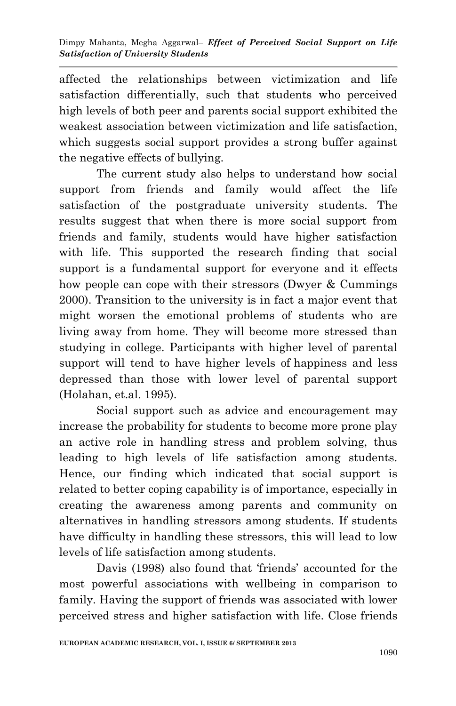affected the relationships between victimization and life satisfaction differentially, such that students who perceived high levels of both peer and parents social support exhibited the weakest association between victimization and life satisfaction, which suggests social support provides a strong buffer against the negative effects of bullying.

The current study also helps to understand how social support from friends and family would affect the life satisfaction of the postgraduate university students. The results suggest that when there is more social support from friends and family, students would have higher satisfaction with life. This supported the research finding that social support is a fundamental support for everyone and it effects how people can cope with their stressors (Dwyer & Cummings 2000). Transition to the university is in fact a major event that might worsen the emotional problems of students who are living away from home. They will become more stressed than studying in college. Participants with higher level of parental support will tend to have higher levels of happiness and less depressed than those with lower level of parental support (Holahan, et.al. 1995).

Social support such as advice and encouragement may increase the probability for students to become more prone play an active role in handling stress and problem solving, thus leading to high levels of life satisfaction among students. Hence, our finding which indicated that social support is related to better coping capability is of importance, especially in creating the awareness among parents and community on alternatives in handling stressors among students. If students have difficulty in handling these stressors, this will lead to low levels of life satisfaction among students.

Davis (1998) also found that 'friends' accounted for the most powerful associations with wellbeing in comparison to family. Having the support of friends was associated with lower perceived stress and higher satisfaction with life. Close friends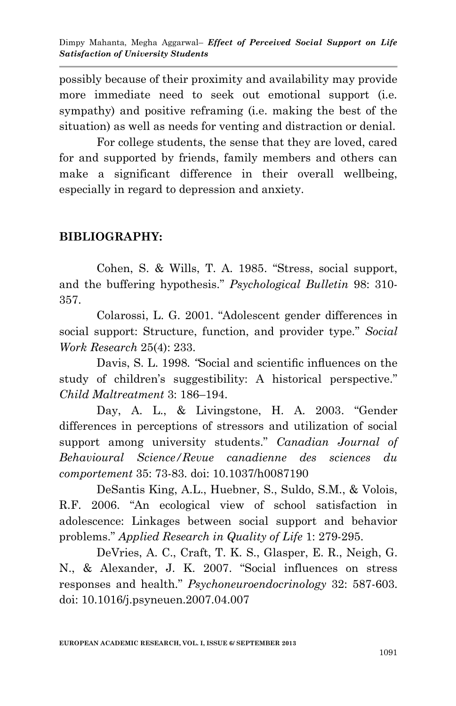possibly because of their proximity and availability may provide more immediate need to seek out emotional support (i.e. sympathy) and positive reframing (i.e. making the best of the situation) as well as needs for venting and distraction or denial.

For college students, the sense that they are loved, cared for and supported by friends, family members and others can make a significant difference in their overall wellbeing, especially in regard to depression and anxiety.

# **BIBLIOGRAPHY:**

Cohen, S. & Wills, T. A. 1985. "Stress, social support, and the buffering hypothesis." *Psychological Bulletin* 98: 310- 357.

Colarossi, L. G. 2001. "Adolescent gender differences in social support: Structure, function, and provider type." *Social Work Research* 25(4): 233.

Davis, S. L. 1998*. "*Social and scientific influences on the study of children's suggestibility: A historical perspective." *Child Maltreatment* 3: 186–194.

Day, A. L., & Livingstone, H. A. 2003. "Gender differences in perceptions of stressors and utilization of social support among university students." *Canadian Journal of Behavioural Science/Revue canadienne des sciences du comportement* 35: 73-83. doi: 10.1037/h0087190

DeSantis King, A.L., Huebner, S., Suldo, S.M., & Volois, R.F. 2006. "An ecological view of school satisfaction in adolescence: Linkages between social support and behavior problems." *Applied Research in Quality of Life* 1: 279-295.

DeVries, A. C., Craft, T. K. S., Glasper, E. R., Neigh, G. N., & Alexander, J. K. 2007. "Social influences on stress responses and health." *Psychoneuroendocrinology* 32: 587-603. doi: 10.1016/j.psyneuen.2007.04.007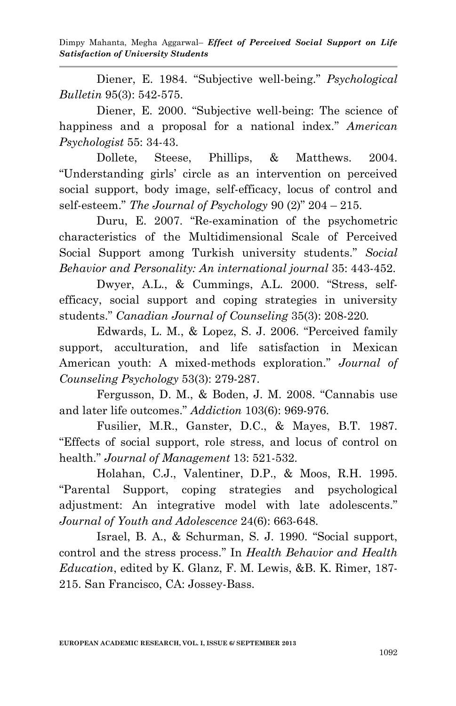Dimpy Mahanta, Megha Aggarwal– *Effect of Perceived Social Support on Life Satisfaction of University Students*

Diener, E. 1984. "Subjective well-being." *Psychological Bulletin* 95(3): 542-575.

Diener, E. 2000. "Subjective well-being: The science of happiness and a proposal for a national index." *American Psychologist* 55: 34-43.

Dollete, Steese, Phillips, & Matthews. 2004. "Understanding girls" circle as an intervention on perceived social support, body image, self-efficacy, locus of control and self-esteem." *The Journal of Psychology* 90 (2)" 204 – 215.

Duru, E. 2007. "Re-examination of the psychometric characteristics of the Multidimensional Scale of Perceived Social Support among Turkish university students." *Social Behavior and Personality: An international journal* 35: 443-452.

Dwyer, A.L., & Cummings, A.L. 2000. "Stress, selfefficacy, social support and coping strategies in university students." *Canadian Journal of Counseling* 35(3): 208-220*.*

Edwards, L. M., & Lopez, S. J. 2006. "Perceived family support, acculturation, and life satisfaction in Mexican American youth: A mixed-methods exploration." *Journal of Counseling Psychology* 53(3): 279-287.

Fergusson, D. M., & Boden, J. M. 2008. "Cannabis use and later life outcomes." *Addiction* 103(6): 969-976.

Fusilier, M.R., Ganster, D.C., & Mayes, B.T. 1987. "Effects of social support, role stress, and locus of control on health." *Journal of Management* 13: 521-532.

Holahan, C.J., Valentiner, D.P., & Moos, R.H. 1995. "Parental Support, coping strategies and psychological adjustment: An integrative model with late adolescents." *Journal of Youth and Adolescence* 24(6): 663-648.

Israel, B. A., & Schurman, S. J. 1990. "Social support, control and the stress process." In *Health Behavior and Health Education*, edited by K. Glanz, F. M. Lewis, &B. K. Rimer, 187- 215. San Francisco, CA: Jossey-Bass.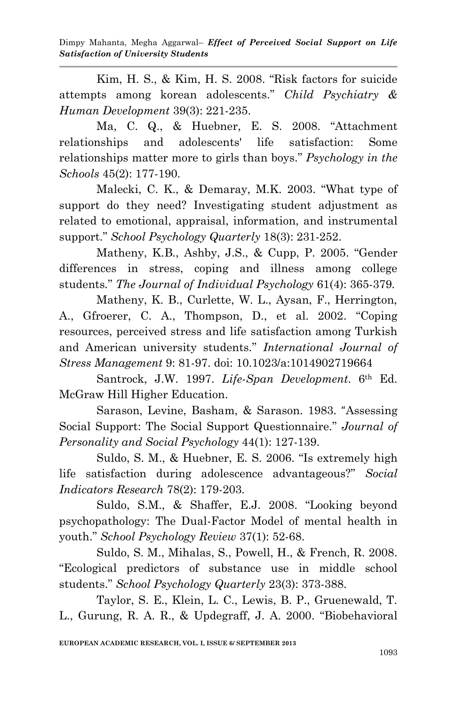Dimpy Mahanta, Megha Aggarwal– *Effect of Perceived Social Support on Life Satisfaction of University Students*

Kim, H. S., & Kim, H. S. 2008. "Risk factors for suicide attempts among korean adolescents." *Child Psychiatry & Human Development* 39(3): 221-235.

Ma, C. Q., & Huebner, E. S. 2008. "Attachment relationships and adolescents' life satisfaction: Some relationships matter more to girls than boys." *Psychology in the Schools* 45(2): 177-190.

Malecki, C. K., & Demaray, M.K. 2003. "What type of support do they need? Investigating student adjustment as related to emotional, appraisal, information, and instrumental support." *School Psychology Quarterly* 18(3): 231-252.

Matheny, K.B., Ashby, J.S., & Cupp, P. 2005. "Gender differences in stress, coping and illness among college students*.*" *The Journal of Individual Psychology* 61(4): 365-379.

Matheny, K. B., Curlette, W. L., Aysan, F., Herrington, A., Gfroerer, C. A., Thompson, D., et al. 2002. "Coping resources, perceived stress and life satisfaction among Turkish and American university students." *International Journal of Stress Management* 9: 81-97. doi: 10.1023/a:1014902719664

Santrock, J.W. 1997. *Life-Span Development*. 6th Ed. McGraw Hill Higher Education.

Sarason, Levine, Basham, & Sarason. 1983. "Assessing Social Support: The Social Support Questionnaire." *Journal of Personality and Social Psychology* 44(1): 127-139.

Suldo, S. M., & Huebner, E. S. 2006. "Is extremely high life satisfaction during adolescence advantageous?" *Social Indicators Research* 78(2): 179-203.

Suldo, S.M., & Shaffer, E.J. 2008. "Looking beyond psychopathology: The Dual-Factor Model of mental health in youth." *School Psychology Review* 37(1): 52-68.

Suldo, S. M., Mihalas, S., Powell, H., & French, R. 2008. "Ecological predictors of substance use in middle school students." *School Psychology Quarterly* 23(3): 373-388.

Taylor, S. E., Klein, L. C., Lewis, B. P., Gruenewald, T. L., Gurung, R. A. R., & Updegraff, J. A. 2000. "Biobehavioral